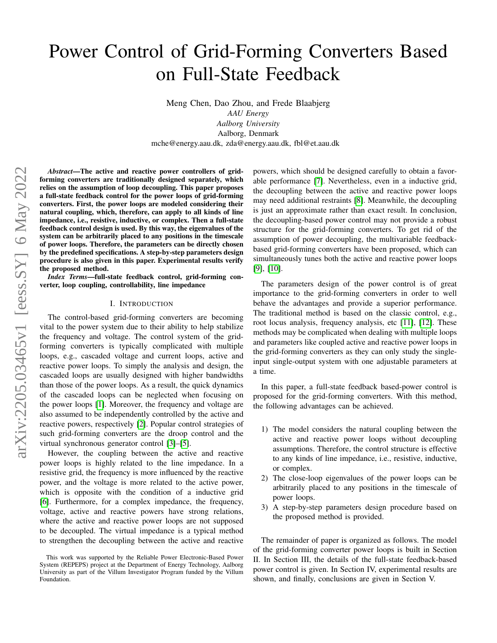# Power Control of Grid-Forming Converters Based on Full-State Feedback

Meng Chen, Dao Zhou, and Frede Blaabjerg

*AAU Energy Aalborg University* Aalborg, Denmark mche@energy.aau.dk, zda@energy.aau.dk, fbl@et.aau.dk

*Abstract*—The active and reactive power controllers of gridforming converters are traditionally designed separately, which relies on the assumption of loop decoupling. This paper proposes a full-state feedback control for the power loops of grid-forming converters. First, the power loops are modeled considering their natural coupling, which, therefore, can apply to all kinds of line impedance, i.e., resistive, inductive, or complex. Then a full-state feedback control design is used. By this way, the eigenvalues of the system can be arbitrarily placed to any positions in the timescale of power loops. Therefore, the parameters can be directly chosen by the predefined specifications. A step-by-step parameters design procedure is also given in this paper. Experimental results verify the proposed method.

*Index Terms*—full-state feedback control, grid-forming converter, loop coupling, controllability, line impedance

## I. INTRODUCTION

The control-based grid-forming converters are becoming vital to the power system due to their ability to help stabilize the frequency and voltage. The control system of the gridforming converters is typically complicated with multiple loops, e.g., cascaded voltage and current loops, active and reactive power loops. To simply the analysis and design, the cascaded loops are usually designed with higher bandwidths than those of the power loops. As a result, the quick dynamics of the cascaded loops can be neglected when focusing on the power loops [\[1\]](#page-5-0). Moreover, the frequency and voltage are also assumed to be independently controlled by the active and reactive powers, respectively [\[2\]](#page-5-1). Popular control strategies of such grid-forming converters are the droop control and the virtual synchronous generator control [\[3\]](#page-5-2)–[\[5\]](#page-5-3).

However, the coupling between the active and reactive power loops is highly related to the line impedance. In a resistive grid, the frequency is more influenced by the reactive power, and the voltage is more related to the active power, which is opposite with the condition of a inductive grid [\[6\]](#page-5-4). Furthermore, for a complex impedance, the frequency, voltage, active and reactive powers have strong relations, where the active and reactive power loops are not supposed to be decoupled. The virtual impedance is a typical method to strengthen the decoupling between the active and reactive powers, which should be designed carefully to obtain a favorable performance [\[7\]](#page-5-5). Nevertheless, even in a inductive grid, the decoupling between the active and reactive power loops may need additional restraints [\[8\]](#page-5-6). Meanwhile, the decoupling is just an approximate rather than exact result. In conclusion, the decoupling-based power control may not provide a robust structure for the grid-forming converters. To get rid of the assumption of power decoupling, the multivariable feedbackbased grid-forming converters have been proposed, which can simultaneously tunes both the active and reactive power loops [\[9\]](#page-5-7), [\[10\]](#page-5-8).

The parameters design of the power control is of great importance to the grid-forming converters in order to well behave the advantages and provide a superior performance. The traditional method is based on the classic control, e.g., root locus analysis, frequency analysis, etc [\[11\]](#page-5-9), [\[12\]](#page-5-10). These methods may be complicated when dealing with multiple loops and parameters like coupled active and reactive power loops in the grid-forming converters as they can only study the singleinput single-output system with one adjustable parameters at a time.

In this paper, a full-state feedback based-power control is proposed for the grid-forming converters. With this method, the following advantages can be achieved.

- 1) The model considers the natural coupling between the active and reactive power loops without decoupling assumptions. Therefore, the control structure is effective to any kinds of line impedance, i.e., resistive, inductive, or complex.
- 2) The close-loop eigenvalues of the power loops can be arbitrarily placed to any positions in the timescale of power loops.
- 3) A step-by-step parameters design procedure based on the proposed method is provided.

The remainder of paper is organized as follows. The model of the grid-forming converter power loops is built in Section II. In Section III, the details of the full-state feedback-based power control is given. In Section IV, experimental results are shown, and finally, conclusions are given in Section V.

This work was supported by the Reliable Power Electronic-Based Power System (REPEPS) project at the Department of Energy Technology, Aalborg University as part of the Villum Investigator Program funded by the Villum Foundation.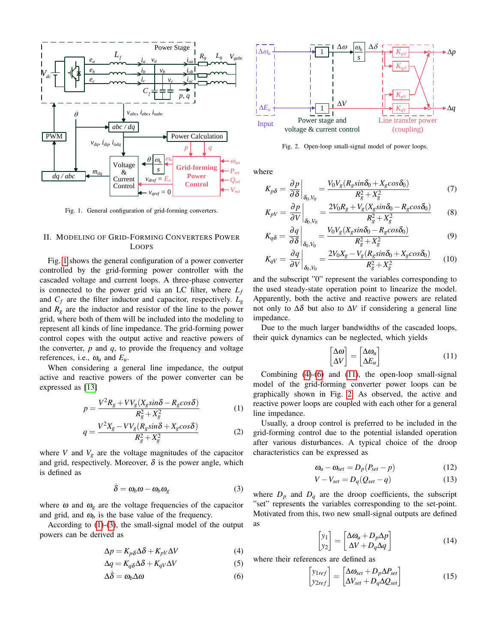

<span id="page-1-0"></span>Fig. 1. General configuration of grid-forming converters.

## II. MODELING OF GRID-FORMING CONVERTERS POWER LOOPS

Fig. [1](#page-1-0) shows the general configuration of a power converter controlled by the grid-forming power controller with the cascaded voltage and current loops. A three-phase converter is connected to the power grid via an LC filter, where *L<sup>f</sup>* and  $C_f$  are the filter inductor and capacitor, respectively.  $L_g$ and  $R_g$  are the inductor and resistor of the line to the power grid, where both of them will be included into the modeling to represent all kinds of line impedance. The grid-forming power control copes with the output active and reactive powers of the converter, *p* and *q*, to provide the frequency and voltage references, i.e.,  $\omega_u$  and  $E_u$ .

When considering a general line impedance, the output active and reactive powers of the power converter can be expressed as [\[13\]](#page-5-11)

$$
p = \frac{V^2 R_g + V V_g (X_g \sin \delta - R_g \cos \delta)}{R_g^2 + X_g^2} \tag{1}
$$

$$
q = \frac{V^2 X_g - V V_g (R_g \sin \delta + X_g \cos \delta)}{R_g^2 + X_g^2}
$$
 (2)

where *V* and  $V_g$  are the voltage magnitudes of the capacitor and grid, respectively. Moreover,  $\delta$  is the power angle, which is defined as

$$
\dot{\delta} = \omega_b \omega - \omega_b \omega_g \tag{3}
$$

where  $\omega$  and  $\omega$ <sub>g</sub> are the voltage frequencies of the capacitor and grid, and  $\omega_b$  is the base value of the frequency.

According to [\(1\)](#page-1-1)-[\(3\)](#page-1-2), the small-signal model of the output powers can be derived as

$$
\Delta p = K_{p\delta} \Delta \delta + K_{pV} \Delta V \tag{4}
$$

$$
\Delta q = K_{q\delta} \Delta \delta + K_{qV} \Delta V \tag{5}
$$

$$
\Delta \dot{\delta} = \omega_b \Delta \omega \tag{6}
$$



<span id="page-1-9"></span><span id="page-1-6"></span>Fig. 2. Open-loop small-signal model of power loops.

where

$$
K_{p\delta} = \frac{\partial p}{\partial \delta} \bigg|_{\delta_0, V_0} = \frac{V_0 V_g (R_g \sin \delta_0 + X_g \cos \delta_0)}{R_g^2 + X_g^2} \tag{7}
$$

$$
K_{pV} = \left. \frac{\partial p}{\partial V} \right|_{\delta_0, V_0} = \frac{2V_0 R_g + V_g (X_g \sin \delta_0 - R_g \cos \delta_0)}{R_g^2 + X_g^2} \tag{8}
$$

$$
K_{q\delta} = \frac{\partial q}{\partial \delta} \Big|_{\delta_0, V_0} = \frac{V_0 V_g (X_g \sin \delta_0 - R_g \cos \delta_0)}{R_g^2 + X_g^2} \tag{9}
$$

$$
K_{qV} = \left. \frac{\partial q}{\partial V} \right|_{\delta_0, V_0} = \frac{2V_0 X_g - V_g (R_g \sin \delta_0 + X_g \cos \delta_0)}{R_g^2 + X_g^2} \tag{10}
$$

and the subscript "0" represent the variables corresponding to the used steady-state operation point to linearize the model. Apparently, both the active and reactive powers are related not only to  $\Delta\delta$  but also to  $\Delta V$  if considering a general line impedance.

Due to the much larger bandwidths of the cascaded loops, their quick dynamics can be neglected, which yields

<span id="page-1-10"></span><span id="page-1-5"></span>
$$
\begin{bmatrix} \Delta \omega \\ \Delta V \end{bmatrix} = \begin{bmatrix} \Delta \omega_u \\ \Delta E_u \end{bmatrix} \tag{11}
$$

Combining [\(4\)](#page-1-3)-[\(6\)](#page-1-4) and [\(11\)](#page-1-5), the open-loop small-signal model of the grid-forming converter power loops can be graphically shown in Fig. [2.](#page-1-6) As observed, the active and reactive power loops are coupled with each other for a general line impedance.

<span id="page-1-1"></span>Usually, a droop control is preferred to be included in the grid-forming control due to the potential islanded operation after various disturbances. A typical choice of the droop characteristics can be expressed as

$$
\omega_u - \omega_{set} = D_p (P_{set} - p) \tag{12}
$$

$$
V - V_{set} = D_q(Q_{set} - q)
$$
 (13)

<span id="page-1-2"></span>where  $D_p$  and  $D_q$  are the droop coefficients, the subscript "set" represents the variables corresponding to the set-point. Motivated from this, two new small-signal outputs are defined as

<span id="page-1-8"></span><span id="page-1-7"></span>
$$
\begin{bmatrix} y_1 \\ y_2 \end{bmatrix} = \begin{bmatrix} \Delta \omega_u + D_p \Delta p \\ \Delta V + D_q \Delta q \end{bmatrix}
$$
 (14)

<span id="page-1-4"></span><span id="page-1-3"></span>where their references are defined as

$$
\begin{bmatrix} y_{1ref} \\ y_{2ref} \end{bmatrix} = \begin{bmatrix} \Delta \omega_{set} + D_p \Delta P_{set} \\ \Delta V_{set} + D_q \Delta Q_{set} \end{bmatrix}
$$
 (15)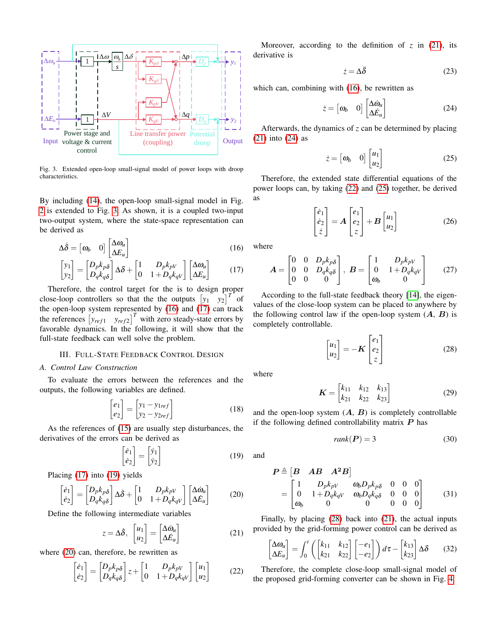

<span id="page-2-0"></span>Fig. 3. Extended open-loop small-signal model of power loops with droop characteristics.

By including [\(14\)](#page-1-7), the open-loop small-signal model in Fig. [2](#page-1-6) is extended to Fig. [3.](#page-2-0) As shown, it is a coupled two-input two-output system, where the state-space representation can be derived as

$$
\Delta \dot{\delta} = \begin{bmatrix} \omega_b & 0 \end{bmatrix} \begin{bmatrix} \Delta \omega_u \\ \Delta E_u \end{bmatrix} \tag{16}
$$

$$
\begin{bmatrix} y_1 \\ y_2 \end{bmatrix} = \begin{bmatrix} D_p k_p \delta \\ D_q k_q \delta \end{bmatrix} \Delta \delta + \begin{bmatrix} 1 & D_p k_{pV} \\ 0 & 1 + D_q k_{qV} \end{bmatrix} \begin{bmatrix} \Delta \omega_u \\ \Delta E_u \end{bmatrix}
$$
 (17)

Therefore, the control target for the is to design proper close-loop controllers so that the the outputs  $[y_1 \quad y_2]^T$  of the open-loop system represented by  $(16)$  and  $(17)$  can track the references  $\begin{bmatrix} y_{ref1} & y_{ref2} \end{bmatrix}^T$  with zero steady-state errors by favorable dynamics. In the following, it will show that the full-state feedback can well solve the problem.

## III. FULL-STATE FEEDBACK CONTROL DESIGN

## *A. Control Law Construction*

To evaluate the errors between the references and the outputs, the following variables are defined.

$$
\begin{bmatrix} e_1 \\ e_2 \end{bmatrix} = \begin{bmatrix} y_1 - y_{1ref} \\ y_2 - y_{2ref} \end{bmatrix}
$$
 (18)

As the references of [\(15\)](#page-1-8) are usually step disturbances, the derivatives of the errors can be derived as

$$
\begin{bmatrix} \dot{e}_1 \\ \dot{e}_2 \end{bmatrix} = \begin{bmatrix} \dot{y}_1 \\ \dot{y}_2 \end{bmatrix} \tag{19}
$$

Placing [\(17\)](#page-2-2) into [\(19\)](#page-2-3) yields

$$
\begin{bmatrix} \dot{e}_1 \\ \dot{e}_2 \end{bmatrix} = \begin{bmatrix} D_p k_p \delta \\ D_q k_q \delta \end{bmatrix} \Delta \dot{\delta} + \begin{bmatrix} 1 & D_p k_{pV} \\ 0 & 1 + D_q k_{qV} \end{bmatrix} \begin{bmatrix} \Delta \dot{\omega}_u \\ \Delta \dot{E}_u \end{bmatrix}
$$
(20)

Define the following intermediate variables

$$
z = \Delta \dot{\delta}, \begin{bmatrix} u_1 \\ u_2 \end{bmatrix} = \begin{bmatrix} \Delta \dot{\omega}_u \\ \Delta \dot{E}_u \end{bmatrix}
$$
 (21)

where  $(20)$  can, therefore, be rewritten as

$$
\begin{bmatrix} \dot{e}_1 \\ \dot{e}_2 \end{bmatrix} = \begin{bmatrix} D_p k_{p\delta} \\ D_q k_{q\delta} \end{bmatrix} z + \begin{bmatrix} 1 & D_p k_{pV} \\ 0 & 1 + D_q k_{qV} \end{bmatrix} \begin{bmatrix} u_1 \\ u_2 \end{bmatrix}
$$
 (22)

Moreover, according to the definition of  $z$  in [\(21\)](#page-2-5), its derivative is

<span id="page-2-6"></span>
$$
\dot{z} = \Delta \ddot{\delta} \tag{23}
$$

which can, combining with [\(16\)](#page-2-1), be rewritten as

$$
\dot{z} = \begin{bmatrix} \omega_b & 0 \end{bmatrix} \begin{bmatrix} \Delta \dot{\omega}_u \\ \Delta \dot{E}_u \end{bmatrix}
$$
 (24)

Afterwards, the dynamics of *z* can be determined by placing [\(21\)](#page-2-5) into [\(24\)](#page-2-6) as

<span id="page-2-8"></span>
$$
\dot{z} = \begin{bmatrix} \omega_b & 0 \end{bmatrix} \begin{bmatrix} u_1 \\ u_2 \end{bmatrix} \tag{25}
$$

Therefore, the extended state differential equations of the power loops can, by taking [\(22\)](#page-2-7) and [\(25\)](#page-2-8) together, be derived as

<span id="page-2-10"></span>
$$
\begin{bmatrix} \dot{e}_1 \\ \dot{e}_2 \\ \dot{z} \end{bmatrix} = A \begin{bmatrix} e_1 \\ e_2 \\ z \end{bmatrix} + B \begin{bmatrix} u_1 \\ u_2 \end{bmatrix}
$$
 (26)

<span id="page-2-2"></span><span id="page-2-1"></span>where

$$
\mathbf{A} = \begin{bmatrix} 0 & 0 & D_p k_p \delta \\ 0 & 0 & D_q k_q \delta \\ 0 & 0 & 0 \end{bmatrix}, \ \mathbf{B} = \begin{bmatrix} 1 & D_p k_{pV} \\ 0 & 1 + D_q k_{qV} \\ \omega_b & 0 \end{bmatrix}
$$
 (27)

According to the full-state feedback theory [\[14\]](#page-5-12), the eigenvalues of the close-loop system can be placed to anywhere by the following control law if the open-loop system  $(A, B)$  is completely controllable.

<span id="page-2-13"></span><span id="page-2-9"></span>
$$
\begin{bmatrix} u_1 \\ u_2 \end{bmatrix} = -\mathbf{K} \begin{bmatrix} e_1 \\ e_2 \\ z \end{bmatrix}
$$
 (28)

where

$$
\boldsymbol{K} = \begin{bmatrix} k_{11} & k_{12} & k_{13} \\ k_{21} & k_{22} & k_{23} \end{bmatrix}
$$
 (29)

and the open-loop system  $(A, B)$  is completely controllable if the following defined controllability matrix  $P$  has

<span id="page-2-14"></span><span id="page-2-12"></span><span id="page-2-11"></span>
$$
rank(\boldsymbol{P}) = 3 \tag{30}
$$

<span id="page-2-3"></span>and

$$
\mathbf{P} \triangleq \begin{bmatrix} \mathbf{B} & \mathbf{A}\mathbf{B} & \mathbf{A}^2\mathbf{B} \end{bmatrix} \n= \begin{bmatrix} 1 & D_p k_{pV} & \omega_b D_p k_{p\delta} & 0 & 0 & 0 \\ 0 & 1 + D_q k_{qV} & \omega_b D_q k_{q\delta} & 0 & 0 & 0 \\ \omega_b & 0 & 0 & 0 & 0 & 0 \end{bmatrix}
$$
\n(31)

<span id="page-2-5"></span><span id="page-2-4"></span>Finally, by placing [\(28\)](#page-2-9) back into [\(21\)](#page-2-5), the actual inputs provided by the grid-forming power control can be derived as

$$
\begin{bmatrix} \Delta \omega_u \\ \Delta E_u \end{bmatrix} = \int_0^t \left( \begin{bmatrix} k_{11} & k_{12} \\ k_{21} & k_{22} \end{bmatrix} \begin{bmatrix} -e_1 \\ -e_2 \end{bmatrix} \right) d\tau - \begin{bmatrix} k_{13} \\ k_{23} \end{bmatrix} \Delta \delta \qquad (32)
$$

<span id="page-2-7"></span>Therefore, the complete close-loop small-signal model of the proposed grid-forming converter can be shown in Fig. [4.](#page-3-0)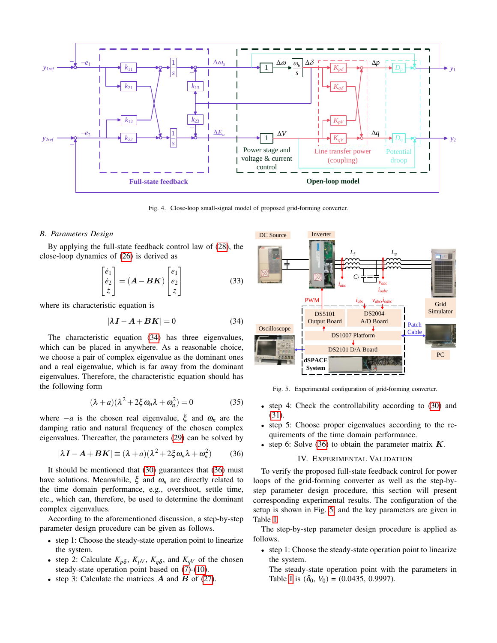

<span id="page-3-0"></span>Fig. 4. Close-loop small-signal model of proposed grid-forming converter.

#### *B. Parameters Design*

By applying the full-state feedback control law of [\(28\)](#page-2-9), the close-loop dynamics of [\(26\)](#page-2-10) is derived as

$$
\begin{bmatrix} \dot{e}_1 \\ \dot{e}_2 \\ \dot{z} \end{bmatrix} = (\mathbf{A} - \mathbf{B}\mathbf{K}) \begin{bmatrix} e_1 \\ e_2 \\ z \end{bmatrix}
$$
 (33)

where its characteristic equation is

$$
|\lambda I - A + BK| = 0 \tag{34}
$$

The characteristic equation [\(34\)](#page-3-1) has three eigenvalues, which can be placed in anywhere. As a reasonable choice, we choose a pair of complex eigenvalue as the dominant ones and a real eigenvalue, which is far away from the dominant eigenvalues. Therefore, the characteristic equation should has the following form

$$
(\lambda + a)(\lambda^2 + 2\xi \omega_n \lambda + \omega_n^2) = 0 \tag{35}
$$

where  $-a$  is the chosen real eigenvalue,  $\xi$  and  $\omega_n$  are the damping ratio and natural frequency of the chosen complex eigenvalues. Thereafter, the parameters [\(29\)](#page-2-11) can be solved by

$$
|\lambda \mathbf{I} - \mathbf{A} + \mathbf{B}\mathbf{K}| \equiv (\lambda + a)(\lambda^2 + 2\xi \omega_n \lambda + \omega_n^2)
$$
 (36)

It should be mentioned that [\(30\)](#page-2-12) guarantees that [\(36\)](#page-3-2) must have solutions. Meanwhile,  $\xi$  and  $\omega_n$  are directly related to the time domain performance, e.g., overshoot, settle time, etc., which can, therefore, be used to determine the dominant complex eigenvalues.

According to the aforementioned discussion, a step-by-step parameter design procedure can be given as follows.

- step 1: Choose the steady-state operation point to linearize the system.
- step 2: Calculate  $K_{p\delta}$ ,  $K_{pV}$ ,  $K_{q\delta}$ , and  $K_{qV}$  of the chosen steady-state operation point based on [\(7\)](#page-1-9)-[\(10\)](#page-1-10).
- step 3: Calculate the matrices  $\vec{A}$  and  $\vec{B}$  of [\(27\)](#page-2-13).



<span id="page-3-3"></span><span id="page-3-1"></span>Fig. 5. Experimental configuration of grid-forming converter.

- step 4: Check the controllability according to [\(30\)](#page-2-12) and [\(31\)](#page-2-14).
- step 5: Choose proper eigenvalues according to the requirements of the time domain performance.
- <span id="page-3-2"></span>• step 6: Solve [\(36\)](#page-3-2) to obtain the parameter matrix  $K$ .

### IV. EXPERIMENTAL VALIDATION

To verify the proposed full-state feedback control for power loops of the grid-forming converter as well as the step-bystep parameter design procedure, this section will present corresponding experimental results. The configuration of the setup is shown in Fig. [5,](#page-3-3) and the key parameters are given in Table [I.](#page-4-0)

The step-by-step parameter design procedure is applied as follows.

• step 1: Choose the steady-state operation point to linearize the system.

The steady-state operation point with the parameters in Table [I](#page-4-0) is  $(\delta_0, V_0) = (0.0435, 0.9997)$ .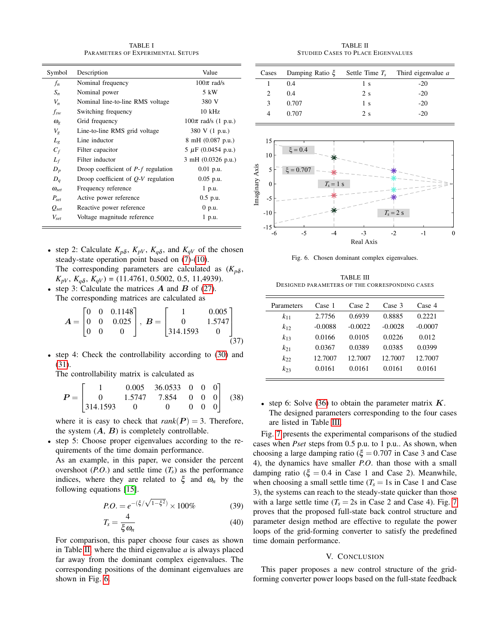TABLE I PARAMETERS OF EXPERIMENTAL SETUPS

<span id="page-4-0"></span>

| Symbol                | Description                           | Value                   |
|-----------------------|---------------------------------------|-------------------------|
| $f_n$                 | Nominal frequency                     | $100\pi$ rad/s          |
| $S_n$                 | Nominal power                         | 5 kW                    |
| $V_n$                 | Nominal line-to-line RMS voltage      | 380 V                   |
| $f_{sw}$              | Switching frequency                   | $10$ kHz                |
| $\omega_{\rm c}$      | Grid frequency                        | $100\pi$ rad/s (1 p.u.) |
| $V_g$                 | Line-to-line RMS grid voltage         | 380 V (1 p.u.)          |
| $L_g$                 | Line inductor                         | 8 mH (0.087 p.u.)       |
| $C_f$                 | Filter capacitor                      | $5 \mu$ F (0.0454 p.u.) |
| $L_f$                 | Filter inductor                       | 3 mH (0.0326 p.u.)      |
| $D_p$                 | Droop coefficient of $P-f$ regulation | $0.01$ p.u.             |
| $D_q$                 | Droop coefficient of $Q-V$ regulation | $0.05$ p.u.             |
| $\omega_{\text{set}}$ | Frequency reference                   | 1 p.u.                  |
| $P_{\text{set}}$      | Active power reference                | $0.5$ p.u.              |
| $Q_{set}$             | Reactive power reference              | $0$ p.u.                |
| $V_{\text{set}}$      | Voltage magnitude reference           | 1 p.u.                  |

- step 2: Calculate  $K_{p\delta}$ ,  $K_{pV}$ ,  $K_{q\delta}$ , and  $K_{qV}$  of the chosen steady-state operation point based on [\(7\)](#page-1-9)-[\(10\)](#page-1-10). The corresponding parameters are calculated as  $(K_{p\delta},$  $K_{pV}$ ,  $K_{q\delta}$ ,  $K_{qV}$ ) = (11.4761, 0.5002, 0.5, 11,4939).
- step 3: Calculate the matrices  $\vec{A}$  and  $\vec{B}$  of [\(27\)](#page-2-13). The corresponding matrices are calculated as

$$
\mathbf{A} = \begin{bmatrix} 0 & 0 & 0.1148 \\ 0 & 0 & 0.025 \\ 0 & 0 & 0 \end{bmatrix}, \ \mathbf{B} = \begin{bmatrix} 1 & 0.005 \\ 0 & 1.5747 \\ 314.1593 & 0 \end{bmatrix}
$$
(37)

• step 4: Check the controllability according to [\(30\)](#page-2-12) and [\(31\)](#page-2-14).

The controllability matrix is calculated as

$$
P = \begin{bmatrix} 1 & 0.005 & 36.0533 & 0 & 0 & 0 \\ 0 & 1.5747 & 7.854 & 0 & 0 & 0 \\ 314.1593 & 0 & 0 & 0 & 0 & 0 \end{bmatrix}
$$
 (38)

where it is easy to check that  $rank(P) = 3$ . Therefore, the system  $(A, B)$  is completely controllable.

• step 5: Choose proper eigenvalues according to the requirements of the time domain performance.

As an example, in this paper, we consider the percent overshoot (*P.O.*) and settle time  $(T_s)$  as the performance indices, where they are related to  $\xi$  and  $\omega_n$  by the following equations [\[15\]](#page-5-13).

$$
P.O. = e^{-(\xi/\sqrt{1-\xi^2})} \times 100\%
$$
 (39)

$$
T_s = \frac{4}{\xi \omega_n} \tag{40}
$$

For comparison, this paper choose four cases as shown in Table [II,](#page-4-1) where the third eigenvalue *a* is always placed far away from the dominant complex eigenvalues. The corresponding positions of the dominant eigenvalues are shown in Fig. [6.](#page-4-2)

TABLE II STUDIED CASES TO PLACE EIGENVALUES

<span id="page-4-1"></span>

| Cases    | Damping Ratio $\xi$ | Settle Time $T_s$ | Third eigenvalue a |
|----------|---------------------|-------------------|--------------------|
|          | 0.4                 | 1 <sub>s</sub>    | $-20$              |
| 2        | 0.4                 | 2s                | $-20$              |
| 3        | 0.707               | 1 <sub>s</sub>    | $-20$              |
| 4        | 0.707               | 2s                | $-20$              |
| 15       |                     |                   |                    |
| 10       | $\xi = 0.4$         |                   |                    |
| xis<br>5 | $\xi = 0.707$       |                   |                    |



<span id="page-4-2"></span>Fig. 6. Chosen dominant complex eigenvalues.

TABLE III DESIGNED PARAMETERS OF THE CORRESPONDING CASES

<span id="page-4-3"></span>

| Parameters | Case 1    | Case 2    | Case 3    | Case 4    |
|------------|-----------|-----------|-----------|-----------|
| $k_{11}$   | 2.7756    | 0.6939    | 0.8885    | 0.2221    |
| $k_{12}$   | $-0.0088$ | $-0.0022$ | $-0.0028$ | $-0.0007$ |
| $k_{13}$   | 0.0166    | 0.0105    | 0.0226    | 0.012     |
| $k_{21}$   | 0.0367    | 0.0389    | 0.0385    | 0.0399    |
| $k_{22}$   | 12.7007   | 12.7007   | 12.7007   | 12.7007   |
| $k_{23}$   | 0.0161    | 0.0161    | 0.0161    | 0.0161    |
|            |           |           |           |           |

• step 6: Solve [\(36\)](#page-3-2) to obtain the parameter matrix  $K$ . The designed parameters corresponding to the four cases are listed in Table [III.](#page-4-3)

Fig. [7](#page-5-14) presents the experimental comparisons of the studied cases when *Pset* steps from 0.5 p.u. to 1 p.u.. As shown, when choosing a large damping ratio ( $\xi = 0.707$  in Case 3 and Case 4), the dynamics have smaller *P*.*O*. than those with a small damping ratio ( $\xi = 0.4$  in Case 1 and Case 2). Meanwhile, when choosing a small settle time  $(T_s = 1s$  in Case 1 and Case 3), the systems can reach to the steady-state quicker than those with a large settle time ( $T_s = 2s$  in Case 2 and Case 4). Fig. [7](#page-5-14) proves that the proposed full-state back control structure and parameter design method are effective to regulate the power loops of the grid-forming converter to satisfy the predefined time domain performance.

### V. CONCLUSION

This paper proposes a new control structure of the gridforming converter power loops based on the full-state feedback